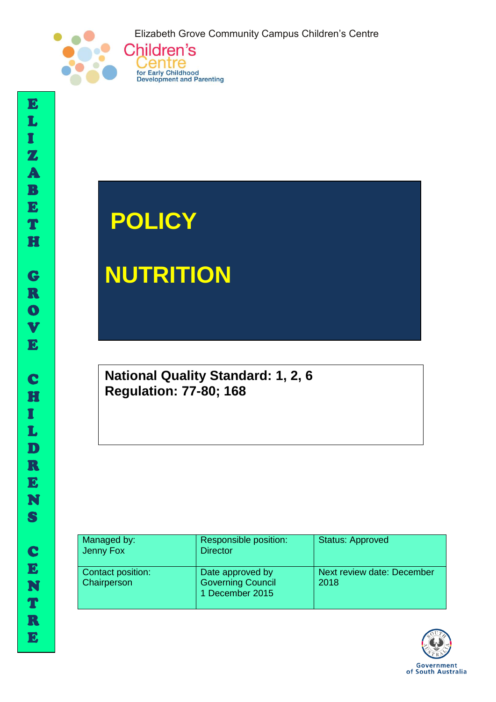Elizabeth Grove Community Campus Children's Centre



# **POLICY**

Centre

for Early Childhood<br>Development and Parenting

**NUTRITION** 

**National Quality Standard: 1, 2, 6 Regulation: 77-80; 168**

| Managed by:<br>Jenny Fox         | Responsible position:<br><b>Director</b>                        | <b>Status: Approved</b>            |
|----------------------------------|-----------------------------------------------------------------|------------------------------------|
| Contact position:<br>Chairperson | Date approved by<br><b>Governing Council</b><br>1 December 2015 | Next review date: December<br>2018 |



I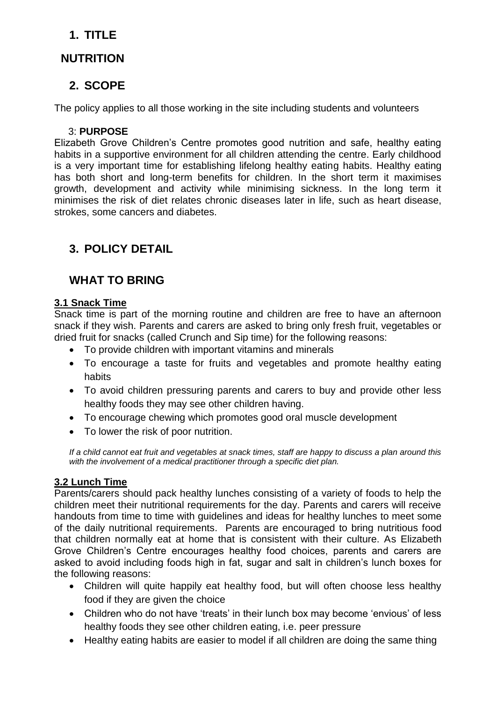## **1. TITLE**

## **NUTRITION**

## **2. SCOPE**

The policy applies to all those working in the site including students and volunteers

## 3: **PURPOSE**

Elizabeth Grove Children's Centre promotes good nutrition and safe, healthy eating habits in a supportive environment for all children attending the centre. Early childhood is a very important time for establishing lifelong healthy eating habits. Healthy eating has both short and long-term benefits for children. In the short term it maximises growth, development and activity while minimising sickness. In the long term it minimises the risk of diet relates chronic diseases later in life, such as heart disease, strokes, some cancers and diabetes.

# **3. POLICY DETAIL**

# **WHAT TO BRING**

#### **3.1 Snack Time**

Snack time is part of the morning routine and children are free to have an afternoon snack if they wish. Parents and carers are asked to bring only fresh fruit, vegetables or dried fruit for snacks (called Crunch and Sip time) for the following reasons:

- To provide children with important vitamins and minerals
- To encourage a taste for fruits and vegetables and promote healthy eating habits
- To avoid children pressuring parents and carers to buy and provide other less healthy foods they may see other children having.
- To encourage chewing which promotes good oral muscle development
- To lower the risk of poor nutrition.

*If a child cannot eat fruit and vegetables at snack times, staff are happy to discuss a plan around this with the involvement of a medical practitioner through a specific diet plan.* 

#### **3.2 Lunch Time**

Parents/carers should pack healthy lunches consisting of a variety of foods to help the children meet their nutritional requirements for the day. Parents and carers will receive handouts from time to time with guidelines and ideas for healthy lunches to meet some of the daily nutritional requirements. Parents are encouraged to bring nutritious food that children normally eat at home that is consistent with their culture. As Elizabeth Grove Children's Centre encourages healthy food choices, parents and carers are asked to avoid including foods high in fat, sugar and salt in children's lunch boxes for the following reasons:

- Children will quite happily eat healthy food, but will often choose less healthy food if they are given the choice
- Children who do not have 'treats' in their lunch box may become 'envious' of less healthy foods they see other children eating, i.e. peer pressure
- Healthy eating habits are easier to model if all children are doing the same thing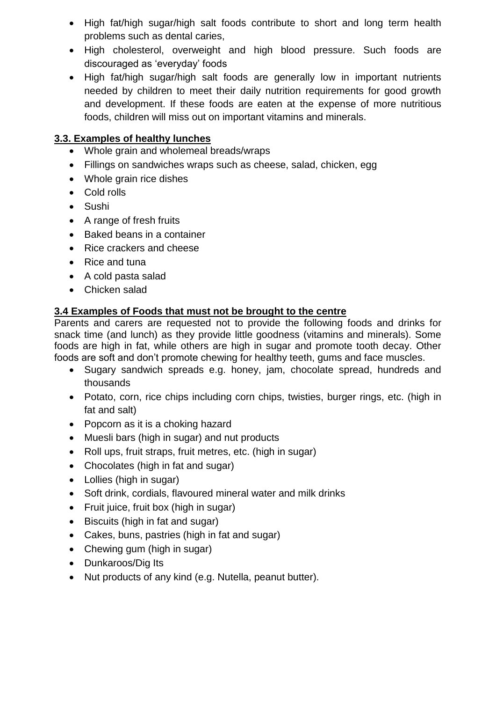- High fat/high sugar/high salt foods contribute to short and long term health problems such as dental caries,
- High cholesterol, overweight and high blood pressure. Such foods are discouraged as 'everyday' foods
- High fat/high sugar/high salt foods are generally low in important nutrients needed by children to meet their daily nutrition requirements for good growth and development. If these foods are eaten at the expense of more nutritious foods, children will miss out on important vitamins and minerals.

## **3.3. Examples of healthy lunches**

- Whole grain and wholemeal breads/wraps
- Fillings on sandwiches wraps such as cheese, salad, chicken, egg
- Whole grain rice dishes
- Cold rolls
- Sushi
- A range of fresh fruits
- Baked beans in a container
- Rice crackers and cheese
- Rice and tuna
- A cold pasta salad
- Chicken salad

#### **3.4 Examples of Foods that must not be brought to the centre**

Parents and carers are requested not to provide the following foods and drinks for snack time (and lunch) as they provide little goodness (vitamins and minerals). Some foods are high in fat, while others are high in sugar and promote tooth decay. Other foods are soft and don't promote chewing for healthy teeth, gums and face muscles.

- Sugary sandwich spreads e.g. honey, jam, chocolate spread, hundreds and thousands
- Potato, corn, rice chips including corn chips, twisties, burger rings, etc. (high in fat and salt)
- Popcorn as it is a choking hazard
- Muesli bars (high in sugar) and nut products
- Roll ups, fruit straps, fruit metres, etc. (high in sugar)
- Chocolates (high in fat and sugar)
- Lollies (high in sugar)
- Soft drink, cordials, flavoured mineral water and milk drinks
- Fruit juice, fruit box (high in sugar)
- Biscuits (high in fat and sugar)
- Cakes, buns, pastries (high in fat and sugar)
- Chewing gum (high in sugar)
- Dunkaroos/Dig Its
- Nut products of any kind (e.g. Nutella, peanut butter).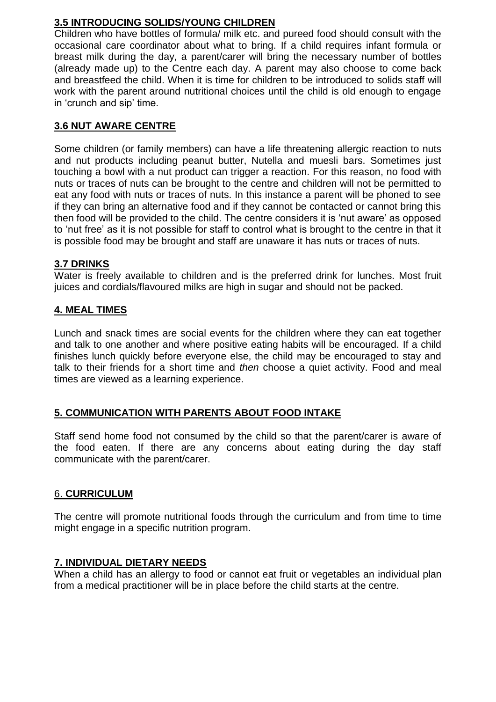## **3.5 INTRODUCING SOLIDS/YOUNG CHILDREN**

Children who have bottles of formula/ milk etc. and pureed food should consult with the occasional care coordinator about what to bring. If a child requires infant formula or breast milk during the day, a parent/carer will bring the necessary number of bottles (already made up) to the Centre each day. A parent may also choose to come back and breastfeed the child. When it is time for children to be introduced to solids staff will work with the parent around nutritional choices until the child is old enough to engage in 'crunch and sip' time.

## **3.6 NUT AWARE CENTRE**

Some children (or family members) can have a life threatening allergic reaction to nuts and nut products including peanut butter, Nutella and muesli bars. Sometimes just touching a bowl with a nut product can trigger a reaction. For this reason, no food with nuts or traces of nuts can be brought to the centre and children will not be permitted to eat any food with nuts or traces of nuts. In this instance a parent will be phoned to see if they can bring an alternative food and if they cannot be contacted or cannot bring this then food will be provided to the child. The centre considers it is 'nut aware' as opposed to 'nut free' as it is not possible for staff to control what is brought to the centre in that it is possible food may be brought and staff are unaware it has nuts or traces of nuts.

#### **3.7 DRINKS**

Water is freely available to children and is the preferred drink for lunches. Most fruit juices and cordials/flavoured milks are high in sugar and should not be packed.

#### **4. MEAL TIMES**

Lunch and snack times are social events for the children where they can eat together and talk to one another and where positive eating habits will be encouraged. If a child finishes lunch quickly before everyone else, the child may be encouraged to stay and talk to their friends for a short time and *then* choose a quiet activity. Food and meal times are viewed as a learning experience.

#### **5. COMMUNICATION WITH PARENTS ABOUT FOOD INTAKE**

Staff send home food not consumed by the child so that the parent/carer is aware of the food eaten. If there are any concerns about eating during the day staff communicate with the parent/carer.

#### 6. **CURRICULUM**

The centre will promote nutritional foods through the curriculum and from time to time might engage in a specific nutrition program.

#### **7. INDIVIDUAL DIETARY NEEDS**

When a child has an allergy to food or cannot eat fruit or vegetables an individual plan from a medical practitioner will be in place before the child starts at the centre.